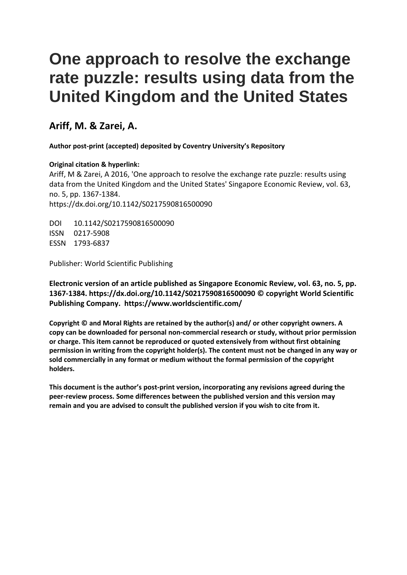# **One approach to resolve the exchange rate puzzle: results using data from the United Kingdom and the United States**

# **Ariff, M. & Zarei, A.**

**Author post-print (accepted) deposited by Coventry University's Repository**

# **Original citation & hyperlink:**

Ariff, M & Zarei, A 2016, 'One approach to resolve the exchange rate puzzle: results using data from the United Kingdom and the United States' Singapore Economic Review, vol. 63, no. 5, pp. 1367-1384. https://dx.doi.org/10.1142/S0217590816500090

DOI 10.1142/S0217590816500090 ISSN 0217-5908 ESSN 1793-6837

Publisher: World Scientific Publishing

**Electronic version of an article published as Singapore Economic Review, vol. 63, no. 5, pp. 1367-1384. https://dx.doi.org/10.1142/S0217590816500090 © copyright World Scientific Publishing Company. https://www.worldscientific.com/**

**Copyright © and Moral Rights are retained by the author(s) and/ or other copyright owners. A copy can be downloaded for personal non-commercial research or study, without prior permission or charge. This item cannot be reproduced or quoted extensively from without first obtaining permission in writing from the copyright holder(s). The content must not be changed in any way or sold commercially in any format or medium without the formal permission of the copyright holders.** 

**This document is the author's post-print version, incorporating any revisions agreed during the peer-review process. Some differences between the published version and this version may remain and you are advised to consult the published version if you wish to cite from it.**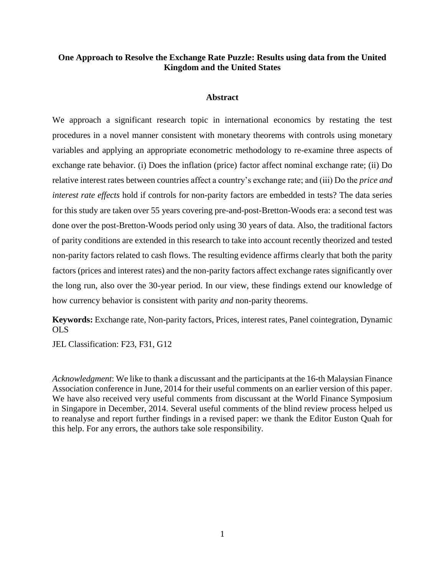# **One Approach to Resolve the Exchange Rate Puzzle: Results using data from the United Kingdom and the United States**

# **Abstract**

We approach a significant research topic in international economics by restating the test procedures in a novel manner consistent with monetary theorems with controls using monetary variables and applying an appropriate econometric methodology to re-examine three aspects of exchange rate behavior. (i) Does the inflation (price) factor affect nominal exchange rate; (ii) Do relative interest rates between countries affect a country's exchange rate; and (iii) Do the *price and interest rate effects* hold if controls for non-parity factors are embedded in tests? The data series for this study are taken over 55 years covering pre-and-post-Bretton-Woods era: a second test was done over the post-Bretton-Woods period only using 30 years of data. Also, the traditional factors of parity conditions are extended in this research to take into account recently theorized and tested non-parity factors related to cash flows. The resulting evidence affirms clearly that both the parity factors (prices and interest rates) and the non-parity factors affect exchange rates significantly over the long run, also over the 30-year period. In our view, these findings extend our knowledge of how currency behavior is consistent with parity *and* non-parity theorems.

**Keywords:** Exchange rate, Non-parity factors, Prices, interest rates, Panel cointegration, Dynamic OLS

JEL Classification: F23, F31, G12

*Acknowledgment*: We like to thank a discussant and the participants at the 16-th Malaysian Finance Association conference in June, 2014 for their useful comments on an earlier version of this paper. We have also received very useful comments from discussant at the World Finance Symposium in Singapore in December, 2014. Several useful comments of the blind review process helped us to reanalyse and report further findings in a revised paper: we thank the Editor Euston Quah for this help. For any errors, the authors take sole responsibility.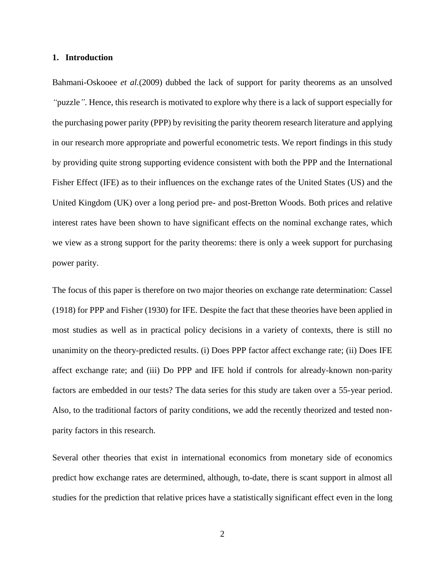## **1. Introduction**

Bahmani-Oskooee *et al.*[\(2009\)](#page-24-0) dubbed the lack of support for parity theorems as an unsolved *"*puzzle*"*. Hence, this research is motivated to explore why there is a lack of support especially for the purchasing power parity (PPP) by revisiting the parity theorem research literature and applying in our research more appropriate and powerful econometric tests. We report findings in this study by providing quite strong supporting evidence consistent with both the PPP and the International Fisher Effect (IFE) as to their influences on the exchange rates of the United States (US) and the United Kingdom (UK) over a long period pre- and post-Bretton Woods. Both prices and relative interest rates have been shown to have significant effects on the nominal exchange rates, which we view as a strong support for the parity theorems: there is only a week support for purchasing power parity.

The focus of this paper is therefore on two major theories on exchange rate determination: [Cassel](#page-24-1)  (1918) for PPP and [Fisher \(1930\)](#page-24-2) for IFE. Despite the fact that these theories have been applied in most studies as well as in practical policy decisions in a variety of contexts, there is still no unanimity on the theory-predicted results. (i) Does PPP factor affect exchange rate; (ii) Does IFE affect exchange rate; and (iii) Do PPP and IFE hold if controls for already-known non-parity factors are embedded in our tests? The data series for this study are taken over a 55-year period. Also, to the traditional factors of parity conditions, we add the recently theorized and tested nonparity factors in this research.

Several other theories that exist in international economics from monetary side of economics predict how exchange rates are determined, although, to-date, there is scant support in almost all studies for the prediction that relative prices have a statistically significant effect even in the long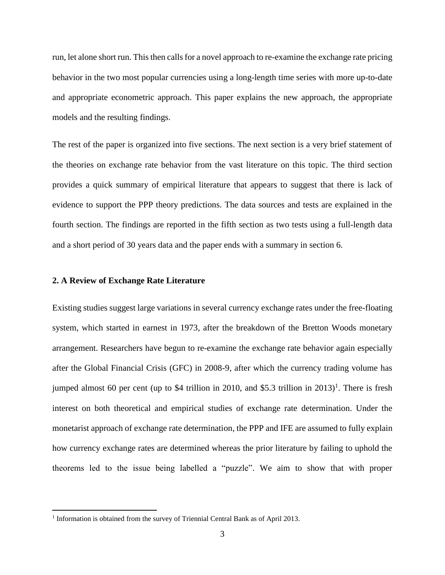run, let alone short run. This then calls for a novel approach to re-examine the exchange rate pricing behavior in the two most popular currencies using a long-length time series with more up-to-date and appropriate econometric approach. This paper explains the new approach, the appropriate models and the resulting findings.

The rest of the paper is organized into five sections. The next section is a very brief statement of the theories on exchange rate behavior from the vast literature on this topic. The third section provides a quick summary of empirical literature that appears to suggest that there is lack of evidence to support the PPP theory predictions. The data sources and tests are explained in the fourth section. The findings are reported in the fifth section as two tests using a full-length data and a short period of 30 years data and the paper ends with a summary in section 6.

# **2. A Review of Exchange Rate Literature**

 $\overline{a}$ 

Existing studies suggest large variations in several currency exchange rates under the free-floating system, which started in earnest in 1973, after the breakdown of the Bretton Woods monetary arrangement. Researchers have begun to re-examine the exchange rate behavior again especially after the Global Financial Crisis (GFC) in 2008-9, after which the currency trading volume has jumped almost 60 per cent (up to \$4 trillion in 2010, and \$5.3 trillion in  $2013$ )<sup>1</sup>. There is fresh interest on both theoretical and empirical studies of exchange rate determination. Under the monetarist approach of exchange rate determination, the PPP and IFE are assumed to fully explain how currency exchange rates are determined whereas the prior literature by failing to uphold the theorems led to the issue being labelled a "puzzle". We aim to show that with proper

<sup>&</sup>lt;sup>1</sup> Information is obtained from the survey of Triennial Central Bank as of April 2013.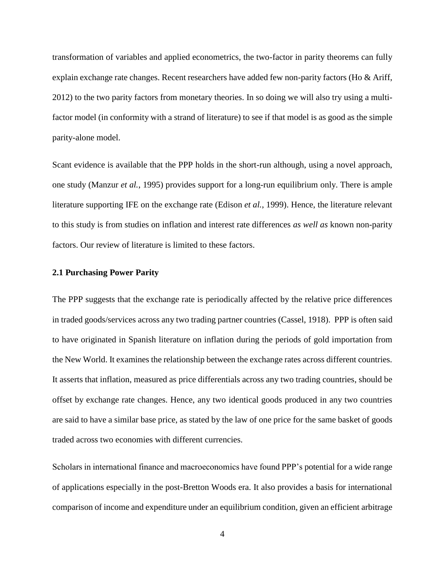transformation of variables and applied econometrics, the two-factor in parity theorems can fully explain exchange rate changes. Recent researchers have added few non-parity factors [\(Ho & Ariff,](#page-25-0)  [2012\)](#page-25-0) to the two parity factors from monetary theories. In so doing we will also try using a multifactor model (in conformity with a strand of literature) to see if that model is as good as the simple parity-alone model.

Scant evidence is available that the PPP holds in the short-run although, using a novel approach, one study [\(Manzur](#page-25-1) *et al.*, 1995) provides support for a long-run equilibrium only. There is ample literature supporting IFE on the exchange rate [\(Edison](#page-24-3) *et al.*, 1999). Hence, the literature relevant to this study is from studies on inflation and interest rate differences *as well as* known non-parity factors. Our review of literature is limited to these factors.

## **2.1 Purchasing Power Parity**

The PPP suggests that the exchange rate is periodically affected by the relative price differences in traded goods/services across any two trading partner countries [\(Cassel, 1918\)](#page-24-1). PPP is often said to have originated in Spanish literature on inflation during the periods of gold importation from the New World. It examines the relationship between the exchange rates across different countries. It asserts that inflation, measured as price differentials across any two trading countries, should be offset by exchange rate changes. Hence, any two identical goods produced in any two countries are said to have a similar base price, as stated by the law of one price for the same basket of goods traded across two economies with different currencies.

Scholars in international finance and macroeconomics have found PPP's potential for a wide range of applications especially in the post-Bretton Woods era. It also provides a basis for international comparison of income and expenditure under an equilibrium condition, given an efficient arbitrage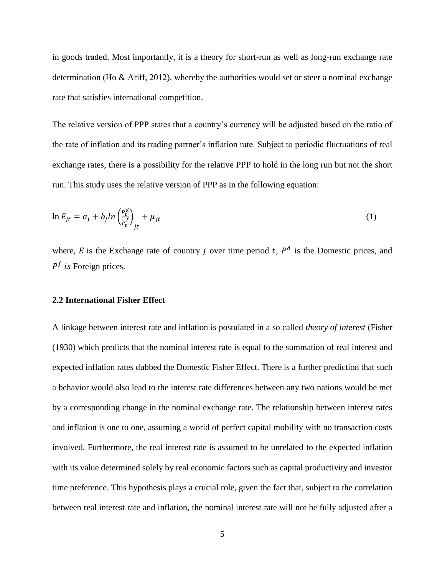in goods traded. Most importantly, it is a theory for short-run as well as long-run exchange rate determination [\(Ho & Ariff, 2012\)](#page-25-0), whereby the authorities would set or steer a nominal exchange rate that satisfies international competition.

The relative version of PPP states that a country's currency will be adjusted based on the ratio of the rate of inflation and its trading partner's inflation rate. Subject to periodic fluctuations of real exchange rates, there is a possibility for the relative PPP to hold in the long run but not the short run. This study uses the relative version of PPP as in the following equation:

$$
\ln E_{jt} = a_j + b_j \ln \left(\frac{P_t^d}{P_t^f}\right)_{jt} + \mu_{jt} \tag{1}
$$

where, E is the Exchange rate of country j over time period t,  $P^d$  is the Domestic prices, and  $P^f$  is Foreign prices.

## **2.2 International Fisher Effect**

A linkage between interest rate and inflation is postulated in a so called *theory of interest* [\(Fisher](#page-24-2)  (1930) which predicts that the nominal interest rate is equal to the summation of real interest and expected inflation rates dubbed the Domestic Fisher Effect. There is a further prediction that such a behavior would also lead to the interest rate differences between any two nations would be met by a corresponding change in the nominal exchange rate. The relationship between interest rates and inflation is one to one, assuming a world of perfect capital mobility with no transaction costs involved. Furthermore, the real interest rate is assumed to be unrelated to the expected inflation with its value determined solely by real economic factors such as capital productivity and investor time preference. This hypothesis plays a crucial role, given the fact that, subject to the correlation between real interest rate and inflation, the nominal interest rate will not be fully adjusted after a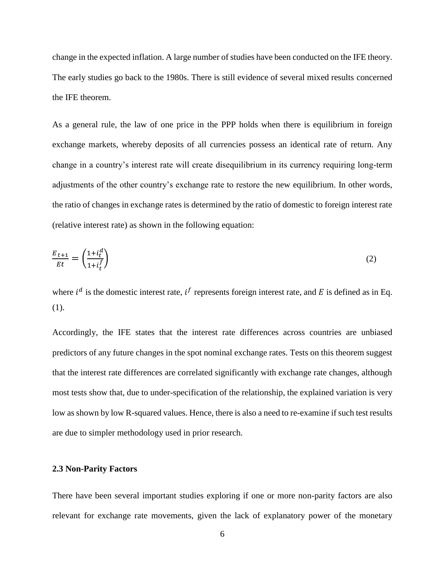change in the expected inflation. A large number of studies have been conducted on the IFE theory. The early studies go back to the 1980s. There is still evidence of several mixed results concerned the IFE theorem.

As a general rule, the law of one price in the PPP holds when there is equilibrium in foreign exchange markets, whereby deposits of all currencies possess an identical rate of return. Any change in a country's interest rate will create disequilibrium in its currency requiring long-term adjustments of the other country's exchange rate to restore the new equilibrium. In other words, the ratio of changes in exchange rates is determined by the ratio of domestic to foreign interest rate (relative interest rate) as shown in the following equation:

$$
\frac{E_{t+1}}{Et} = \left(\frac{1+i_t^d}{1+i_t^f}\right) \tag{2}
$$

where  $i^d$  is the domestic interest rate,  $i^f$  represents foreign interest rate, and E is defined as in Eq. (1).

Accordingly, the IFE states that the interest rate differences across countries are unbiased predictors of any future changes in the spot nominal exchange rates. Tests on this theorem suggest that the interest rate differences are correlated significantly with exchange rate changes, although most tests show that, due to under-specification of the relationship, the explained variation is very low as shown by low R-squared values. Hence, there is also a need to re-examine if such test results are due to simpler methodology used in prior research.

# **2.3 Non-Parity Factors**

There have been several important studies exploring if one or more non-parity factors are also relevant for exchange rate movements, given the lack of explanatory power of the monetary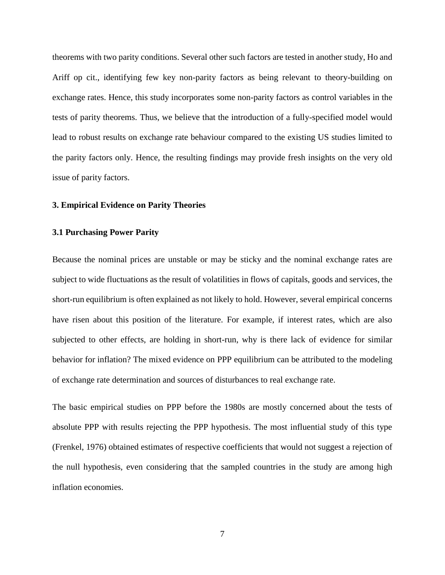theorems with two parity conditions. Several other such factors are tested in another study, Ho and Ariff op cit., identifying few key non-parity factors as being relevant to theory-building on exchange rates. Hence, this study incorporates some non-parity factors as control variables in the tests of parity theorems. Thus, we believe that the introduction of a fully-specified model would lead to robust results on exchange rate behaviour compared to the existing US studies limited to the parity factors only. Hence, the resulting findings may provide fresh insights on the very old issue of parity factors.

# **3. Empirical Evidence on Parity Theories**

#### **3.1 Purchasing Power Parity**

Because the nominal prices are unstable or may be sticky and the nominal exchange rates are subject to wide fluctuations as the result of volatilities in flows of capitals, goods and services, the short-run equilibrium is often explained as not likely to hold. However, several empirical concerns have risen about this position of the literature. For example, if interest rates, which are also subjected to other effects, are holding in short-run, why is there lack of evidence for similar behavior for inflation? The mixed evidence on PPP equilibrium can be attributed to the modeling of exchange rate determination and sources of disturbances to real exchange rate.

The basic empirical studies on PPP before the 1980s are mostly concerned about the tests of absolute PPP with results rejecting the PPP hypothesis. The most influential study of this type [\(Frenkel, 1976\)](#page-24-4) obtained estimates of respective coefficients that would not suggest a rejection of the null hypothesis, even considering that the sampled countries in the study are among high inflation economies.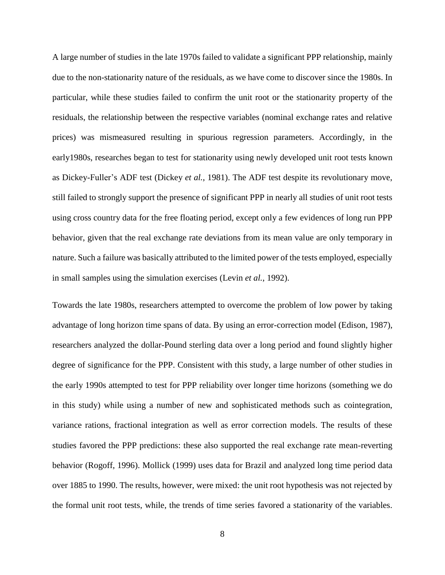A large number of studies in the late 1970s failed to validate a significant PPP relationship, mainly due to the non-stationarity nature of the residuals, as we have come to discover since the 1980s. In particular, while these studies failed to confirm the unit root or the stationarity property of the residuals, the relationship between the respective variables (nominal exchange rates and relative prices) was mismeasured resulting in spurious regression parameters. Accordingly, in the early1980s, researches began to test for stationarity using newly developed unit root tests known as Dickey-Fuller's ADF test [\(Dickey](#page-24-5) *et al.*, 1981). The ADF test despite its revolutionary move, still failed to strongly support the presence of significant PPP in nearly all studies of unit root tests using cross country data for the free floating period, except only a few evidences of long run PPP behavior, given that the real exchange rate deviations from its mean value are only temporary in nature. Such a failure was basically attributed to the limited power of the tests employed, especially in small samples using the simulation exercises (Levin *et al.*[, 1992\)](#page-25-2).

Towards the late 1980s, researchers attempted to overcome the problem of low power by taking advantage of long horizon time spans of data. By using an error-correction model [\(Edison, 1987\)](#page-24-6), researchers analyzed the dollar-Pound sterling data over a long period and found slightly higher degree of significance for the PPP. Consistent with this study, a large number of other studies in the early 1990s attempted to test for PPP reliability over longer time horizons (something we do in this study) while using a number of new and sophisticated methods such as cointegration, variance rations, fractional integration as well as error correction models. The results of these studies favored the PPP predictions: these also supported the real exchange rate mean-reverting behavior [\(Rogoff, 1996\)](#page-26-0). [Mollick \(1999\)](#page-25-3) uses data for Brazil and analyzed long time period data over 1885 to 1990. The results, however, were mixed: the unit root hypothesis was not rejected by the formal unit root tests, while, the trends of time series favored a stationarity of the variables.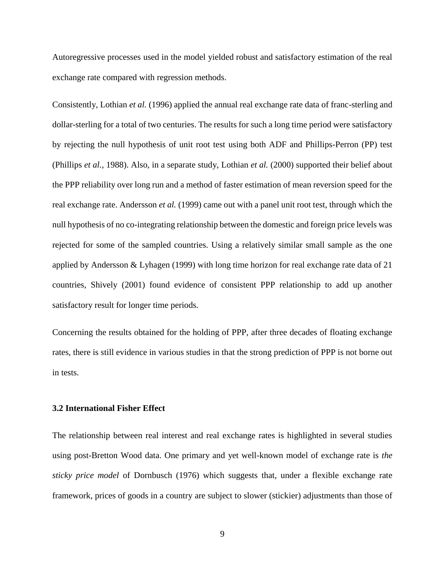Autoregressive processes used in the model yielded robust and satisfactory estimation of the real exchange rate compared with regression methods.

Consistently, [Lothian](#page-25-4) *et al.* (1996) applied the annual real exchange rate data of franc-sterling and dollar-sterling for a total of two centuries. The results for such a long time period were satisfactory by rejecting the null hypothesis of unit root test using both ADF and Phillips-Perron (PP) test [\(Phillips](#page-25-5) *et al.*, 1988). Also, in a separate study, [Lothian](#page-25-6) *et al.* (2000) supported their belief about the PPP reliability over long run and a method of faster estimation of mean reversion speed for the real exchange rate. [Andersson](#page-24-7) *et al.* (1999) came out with a panel unit root test, through which the null hypothesis of no co-integrating relationship between the domestic and foreign price levels was rejected for some of the sampled countries. Using a relatively similar small sample as the one applied by [Andersson & Lyhagen \(1999\)](#page-24-7) with long time horizon for real exchange rate data of 21 countries, [Shively \(2001\)](#page-26-1) found evidence of consistent PPP relationship to add up another satisfactory result for longer time periods.

Concerning the results obtained for the holding of PPP, after three decades of floating exchange rates, there is still evidence in various studies in that the strong prediction of PPP is not borne out in tests.

## **3.2 International Fisher Effect**

The relationship between real interest and real exchange rates is highlighted in several studies using post-Bretton Wood data. One primary and yet well-known model of exchange rate is *the sticky price model* of [Dornbusch \(1976\)](#page-24-8) which suggests that, under a flexible exchange rate framework, prices of goods in a country are subject to slower (stickier) adjustments than those of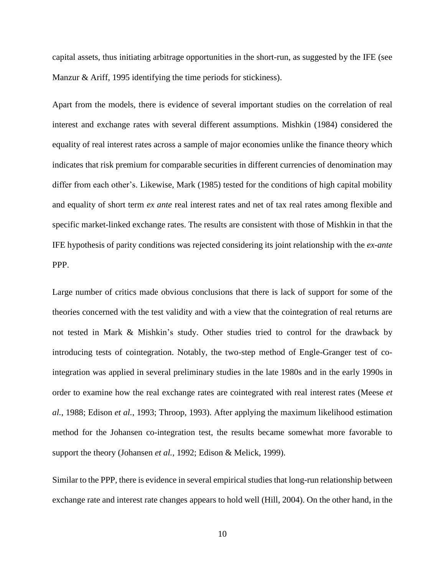capital assets, thus initiating arbitrage opportunities in the short-run, as suggested by the IFE (see Manzur & Ariff, 1995 identifying the time periods for stickiness).

Apart from the models, there is evidence of several important studies on the correlation of real interest and exchange rates with several different assumptions. [Mishkin \(1984\)](#page-25-7) considered the equality of real interest rates across a sample of major economies unlike the finance theory which indicates that risk premium for comparable securities in different currencies of denomination may differ from each other's. Likewise, [Mark \(1985\)](#page-25-8) tested for the conditions of high capital mobility and equality of short term *ex ante* real interest rates and net of tax real rates among flexible and specific market-linked exchange rates. The results are consistent with those of Mishkin in that the IFE hypothesis of parity conditions was rejected considering its joint relationship with the *ex-ante* PPP.

Large number of critics made obvious conclusions that there is lack of support for some of the theories concerned with the test validity and with a view that the cointegration of real returns are not tested in Mark & Mishkin's study. Other studies tried to control for the drawback by introducing tests of cointegration. Notably, the two-step method of Engle-Granger test of cointegration was applied in several preliminary studies in the late 1980s and in the early 1990s in order to examine how the real exchange rates are cointegrated with real interest rates [\(Meese](#page-25-9) *et al.*[, 1988;](#page-25-9) [Edison](#page-24-9) *et al.*, 1993; [Throop, 1993\)](#page-26-2). After applying the maximum likelihood estimation method for the Johansen co-integration test, the results became somewhat more favorable to support the theory [\(Johansen](#page-24-10) *et al.*, 1992; [Edison & Melick, 1999\)](#page-24-3).

Similar to the PPP, there is evidence in several empirical studies that long-run relationship between exchange rate and interest rate changes appears to hold well [\(Hill, 2004\)](#page-24-11). On the other hand, in the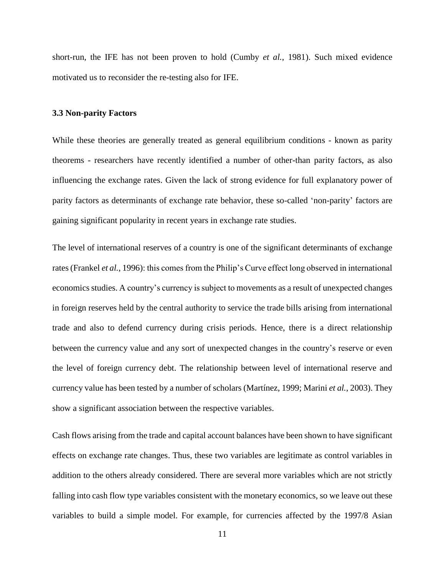short-run, the IFE has not been proven to hold [\(Cumby](#page-24-12) *et al.*, 1981). Such mixed evidence motivated us to reconsider the re-testing also for IFE.

## **3.3 Non-parity Factors**

While these theories are generally treated as general equilibrium conditions - known as parity theorems - researchers have recently identified a number of other-than parity factors, as also influencing the exchange rates. Given the lack of strong evidence for full explanatory power of parity factors as determinants of exchange rate behavior, these so-called 'non-parity' factors are gaining significant popularity in recent years in exchange rate studies.

The level of international reserves of a country is one of the significant determinants of exchange rates[\(Frankel](#page-24-13) *et al.*, 1996): this comes from the Philip's Curve effect long observed in international economics studies. A country's currency is subject to movements as a result of unexpected changes in foreign reserves held by the central authority to service the trade bills arising from international trade and also to defend currency during crisis periods. Hence, there is a direct relationship between the currency value and any sort of unexpected changes in the country's reserve or even the level of foreign currency debt. The relationship between level of international reserve and currency value has been tested by a number of scholars [\(Martínez, 1999;](#page-25-10) [Marini](#page-25-11) *et al.*, 2003). They show a significant association between the respective variables.

Cash flows arising from the trade and capital account balances have been shown to have significant effects on exchange rate changes. Thus, these two variables are legitimate as control variables in addition to the others already considered. There are several more variables which are not strictly falling into cash flow type variables consistent with the monetary economics, so we leave out these variables to build a simple model. For example, for currencies affected by the 1997/8 Asian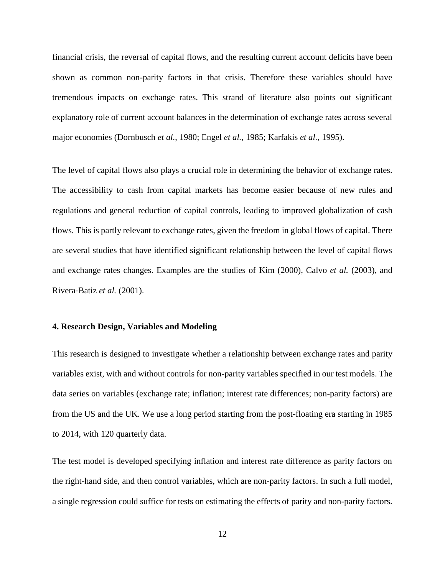financial crisis, the reversal of capital flows, and the resulting current account deficits have been shown as common non-parity factors in that crisis. Therefore these variables should have tremendous impacts on exchange rates. This strand of literature also points out significant explanatory role of current account balances in the determination of exchange rates across several major economies [\(Dornbusch](#page-24-14) *et al.*, 1980; Engel *et al.*[, 1985;](#page-24-15) [Karfakis](#page-25-12) *et al.*, 1995).

The level of capital flows also plays a crucial role in determining the behavior of exchange rates. The accessibility to cash from capital markets has become easier because of new rules and regulations and general reduction of capital controls, leading to improved globalization of cash flows. This is partly relevant to exchange rates, given the freedom in global flows of capital. There are several studies that have identified significant relationship between the level of capital flows and exchange rates changes. Examples are the studies of [Kim \(2000\),](#page-25-0) Calvo *et al.* [\(2003\),](#page-24-16) and Rivera‐Batiz *et al.* [\(2001\).](#page-25-13)

## **4. Research Design, Variables and Modeling**

This research is designed to investigate whether a relationship between exchange rates and parity variables exist, with and without controls for non-parity variables specified in our test models. The data series on variables (exchange rate; inflation; interest rate differences; non-parity factors) are from the US and the UK. We use a long period starting from the post-floating era starting in 1985 to 2014, with 120 quarterly data.

The test model is developed specifying inflation and interest rate difference as parity factors on the right-hand side, and then control variables, which are non-parity factors. In such a full model, a single regression could suffice for tests on estimating the effects of parity and non-parity factors.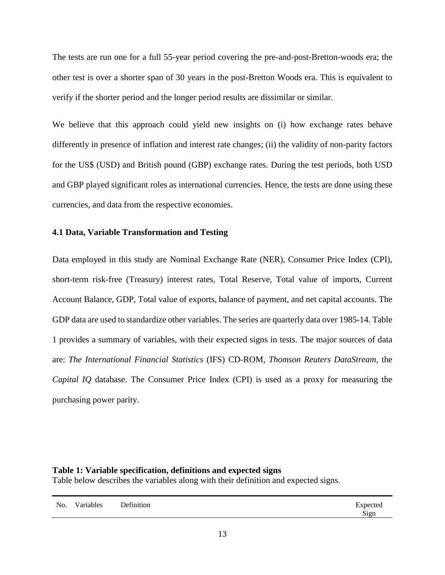The tests are run one for a full 55-year period covering the pre-and-post-Bretton-woods era; the other test is over a shorter span of 30 years in the post-Bretton Woods era. This is equivalent to verify if the shorter period and the longer period results are dissimilar or similar.

We believe that this approach could yield new insights on (i) how exchange rates behave differently in presence of inflation and interest rate changes; (ii) the validity of non-parity factors for the US\$ (USD) and British pound (GBP) exchange rates. During the test periods, both USD and GBP played significant roles as international currencies. Hence, the tests are done using these currencies, and data from the respective economies.

# **4.1 Data, Variable Transformation and Testing**

Data employed in this study are Nominal Exchange Rate (NER), Consumer Price Index (CPI), short-term risk-free (Treasury) interest rates, Total Reserve, Total value of imports, Current Account Balance, GDP, Total value of exports, balance of payment, and net capital accounts. The GDP data are used to standardize other variables. The series are quarterly data over 1985-14. Table 1 provides a summary of variables, with their expected signs in tests. The major sources of data are: *The International Financial Statistics* (IFS) CD-ROM, *Thomson Reuters DataStream,* the *Capital IQ* database. The Consumer Price Index (CPI) is used as a proxy for measuring the purchasing power parity.

# **Table 1: Variable specification, definitions and expected signs**

Table below describes the variables along with their definition and expected signs.

|  | No. Variables | Definition | Expected |
|--|---------------|------------|----------|
|--|---------------|------------|----------|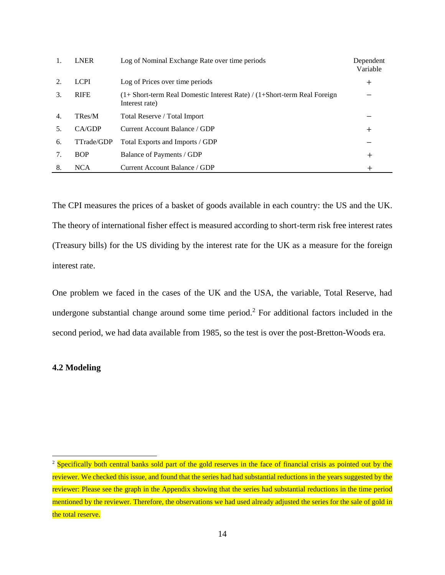|    | <b>LNER</b> | Log of Nominal Exchange Rate over time periods                                                   | Dependent<br>Variable |
|----|-------------|--------------------------------------------------------------------------------------------------|-----------------------|
| 2. | <b>LCPI</b> | Log of Prices over time periods                                                                  | $\pm$                 |
| 3. | <b>RIFE</b> | $(1 + Short-term Real Domestic Interest Rate) / (1 + Short-term Real Foreign)$<br>Interest rate) |                       |
| 4. | TRes/M      | Total Reserve / Total Import                                                                     |                       |
|    | CA/GDP      | Current Account Balance / GDP                                                                    | $\pm$                 |
| 6. | TTrade/GDP  | Total Exports and Imports / GDP                                                                  |                       |
|    | <b>BOP</b>  | Balance of Payments / GDP                                                                        | $\,+\,$               |
| 8. | <b>NCA</b>  | Current Account Balance / GDP                                                                    | $\,{}^+$              |

The CPI measures the prices of a basket of goods available in each country: the US and the UK. The theory of international fisher effect is measured according to short-term risk free interest rates (Treasury bills) for the US dividing by the interest rate for the UK as a measure for the foreign interest rate.

One problem we faced in the cases of the UK and the USA, the variable, Total Reserve, had undergone substantial change around some time period.<sup>2</sup> For additional factors included in the second period, we had data available from 1985, so the test is over the post-Bretton-Woods era.

# **4.2 Modeling**

 $\overline{a}$ 

<sup>&</sup>lt;sup>2</sup> Specifically both central banks sold part of the gold reserves in the face of financial crisis as pointed out by the reviewer. We checked this issue, and found that the series had had substantial reductions in the years suggested by the reviewer: Please see the graph in the Appendix showing that the series had substantial reductions in the time period mentioned by the reviewer. Therefore, the observations we had used already adjusted the series for the sale of gold in the total reserve.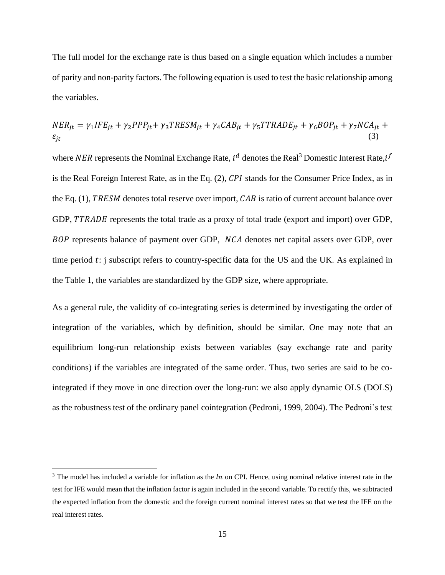The full model for the exchange rate is thus based on a single equation which includes a number of parity and non-parity factors. The following equation is used to test the basic relationship among the variables.

$$
NER_{jt} = \gamma_1 IFE_{jt} + \gamma_2 PPP_{jt} + \gamma_3 TRESM_{jt} + \gamma_4 CAB_{jt} + \gamma_5 TTRADE_{jt} + \gamma_6 BOP_{jt} + \gamma_7 NCA_{jt} + \epsilon_{jt}
$$
\n(3)

where NER represents the Nominal Exchange Rate,  $i^d$  denotes the Real<sup>3</sup> Domestic Interest Rate,  $i^f$ is the Real Foreign Interest Rate, as in the Eq.  $(2)$ , CPI stands for the Consumer Price Index, as in the Eq.  $(1)$ , TRESM denotes total reserve over import,  $CAB$  is ratio of current account balance over GDP, TTRADE represents the total trade as a proxy of total trade (export and import) over GDP, BOP represents balance of payment over GDP, NCA denotes net capital assets over GDP, over time period  $t$ : j subscript refers to country-specific data for the US and the UK. As explained in the Table 1, the variables are standardized by the GDP size, where appropriate.

As a general rule, the validity of co-integrating series is determined by investigating the order of integration of the variables, which by definition, should be similar. One may note that an equilibrium long-run relationship exists between variables (say exchange rate and parity conditions) if the variables are integrated of the same order. Thus, two series are said to be cointegrated if they move in one direction over the long-run: we also apply dynamic OLS (DOLS) as the robustness test of the ordinary panel cointegration [\(Pedroni, 1999,](#page-25-14) [2004\)](#page-25-15). The Pedroni's test

 $\overline{a}$ 

<sup>&</sup>lt;sup>3</sup> The model has included a variable for inflation as the  $ln$  on CPI. Hence, using nominal relative interest rate in the test for IFE would mean that the inflation factor is again included in the second variable. To rectify this, we subtracted the expected inflation from the domestic and the foreign current nominal interest rates so that we test the IFE on the real interest rates.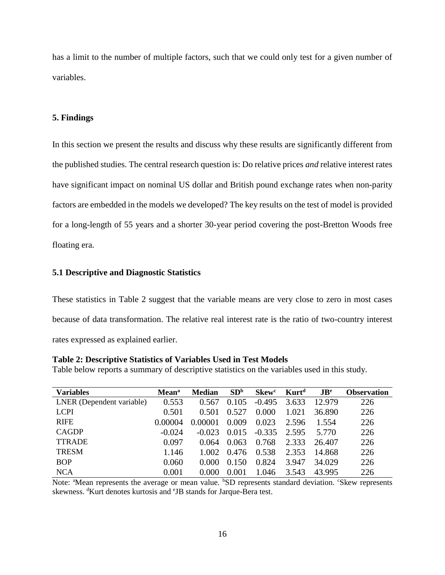has a limit to the number of multiple factors, such that we could only test for a given number of variables.

# **5. Findings**

In this section we present the results and discuss why these results are significantly different from the published studies. The central research question is: Do relative prices *and* relative interest rates have significant impact on nominal US dollar and British pound exchange rates when non-parity factors are embedded in the models we developed? The key results on the test of model is provided for a long-length of 55 years and a shorter 30-year period covering the post-Bretton Woods free floating era.

# **5.1 Descriptive and Diagnostic Statistics**

These statistics in Table 2 suggest that the variable means are very close to zero in most cases because of data transformation. The relative real interest rate is the ratio of two-country interest rates expressed as explained earlier.

# **Table 2: Descriptive Statistics of Variables Used in Test Models**

Table below reports a summary of descriptive statistics on the variables used in this study.

| <b>Variables</b>          | <b>Mean</b> <sup>a</sup> | <b>Median</b> | SD <sup>b</sup> | <b>Skew</b> <sup>c</sup> | Kurt <sup>d</sup> | $\mathbf{J} \mathbf{B}^e$ | <b>Observation</b> |
|---------------------------|--------------------------|---------------|-----------------|--------------------------|-------------------|---------------------------|--------------------|
| LNER (Dependent variable) | 0.553                    | 0.567         | 0.105           | $-0.495$                 | 3.633             | 12.979                    | 226                |
| <b>LCPI</b>               | 0.501                    | 0.501         | 0.527           | 0.000                    | 1.021             | 36.890                    | 226                |
| <b>RIFE</b>               | 0.00004                  | 0.00001       | 0.009           | 0.023                    | 2.596             | 1.554                     | 226                |
| <b>CAGDP</b>              | $-0.024$                 | $-0.023$      | 0.015           | $-0.335$                 | 2.595             | 5.770                     | 226                |
| <b>TTRADE</b>             | 0.097                    | 0.064         | 0.063           | 0.768                    | 2.333             | 26.407                    | 226                |
| <b>TRESM</b>              | 1.146                    | 1.002         | 0.476           | 0.538                    | 2.353             | 14.868                    | 226                |
| <b>BOP</b>                | 0.060                    | 0.000         | 0.150           | 0.824                    | 3.947             | 34.029                    | 226                |
| <b>NCA</b>                | 0.001                    | 0.000         | 0.001           | 1.046                    | 3.543             | 43.995                    | 226                |

Note: <sup>a</sup>Mean represents the average or mean value. <sup>b</sup>SD represents standard deviation. <sup>c</sup>Skew represents skewness. <sup>d</sup>Kurt denotes kurtosis and <sup>e</sup>JB stands for Jarque-Bera test.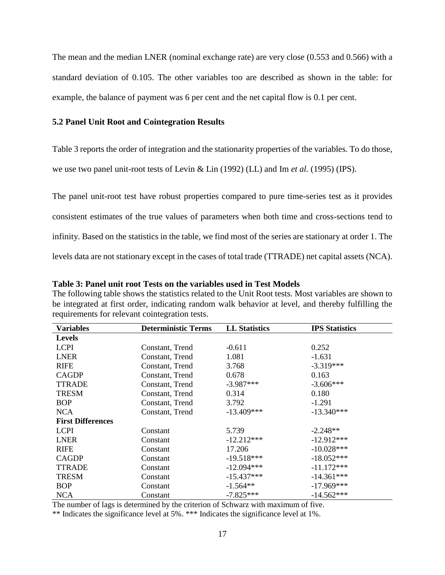The mean and the median LNER (nominal exchange rate) are very close (0.553 and 0.566) with a standard deviation of 0.105. The other variables too are described as shown in the table: for example, the balance of payment was 6 per cent and the net capital flow is 0.1 per cent.

# **5.2 Panel Unit Root and Cointegration Results**

Table 3 reports the order of integration and the stationarity properties of the variables. To do those,

we use two panel unit-root tests of [Levin & Lin \(1992\)](#page-25-2) (LL) and Im *et al.* [\(1995\)](#page-24-17) (IPS).

The panel unit-root test have robust properties compared to pure time-series test as it provides consistent estimates of the true values of parameters when both time and cross-sections tend to infinity. Based on the statistics in the table, we find most of the series are stationary at order 1. The levels data are not stationary except in the cases of total trade (TTRADE) net capital assets (NCA).

| Variables                | <b>Deterministic Terms</b> | <b>LL Statistics</b> | <b>IPS</b> Statistics |
|--------------------------|----------------------------|----------------------|-----------------------|
| <b>Levels</b>            |                            |                      |                       |
| <b>LCPI</b>              | Constant, Trend            | $-0.611$             | 0.252                 |
| <b>LNER</b>              | Constant, Trend            | 1.081                | $-1.631$              |
| <b>RIFE</b>              | Constant, Trend            | 3.768                | $-3.319***$           |
| <b>CAGDP</b>             | Constant, Trend            | 0.678                | 0.163                 |
| <b>TTRADE</b>            | Constant, Trend            | $-3.987***$          | $-3.606***$           |
| <b>TRESM</b>             | Constant, Trend            | 0.314                | 0.180                 |
| <b>BOP</b>               | Constant, Trend            | 3.792                | $-1.291$              |
| <b>NCA</b>               | Constant, Trend            | $-13.409***$         | $-13.340***$          |
| <b>First Differences</b> |                            |                      |                       |
| <b>LCPI</b>              | Constant                   | 5.739                | $-2.248**$            |
| <b>LNER</b>              | Constant                   | $-12.212***$         | $-12.912***$          |
| <b>RIFE</b>              | Constant                   | 17.206               | $-10.028***$          |
| <b>CAGDP</b>             | Constant                   | $-19.518***$         | $-18.052***$          |
| <b>TTRADE</b>            | Constant                   | $-12.094***$         | $-11.172***$          |
| <b>TRESM</b>             | Constant                   | $-15.437***$         | $-14.361***$          |
| <b>BOP</b>               | Constant                   | $-1.564**$           | $-17.969***$          |
| <b>NCA</b>               | Constant                   | $-7.825***$          | $-14.562***$          |

#### **Table 3: Panel unit root Tests on the variables used in Test Models**

The following table shows the statistics related to the Unit Root tests. Most variables are shown to be integrated at first order, indicating random walk behavior at level, and thereby fulfilling the requirements for relevant cointegration tests.

The number of lags is determined by the criterion of Schwarz with maximum of five.

\*\* Indicates the significance level at 5%. \*\*\* Indicates the significance level at 1%.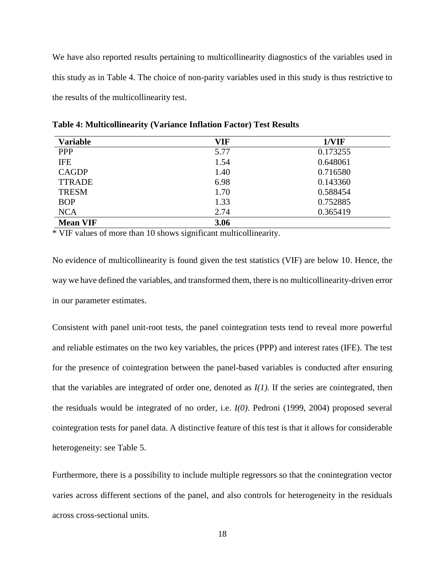We have also reported results pertaining to multicollinearity diagnostics of the variables used in this study as in Table 4. The choice of non-parity variables used in this study is thus restrictive to the results of the multicollinearity test.

| <b>Variable</b> | VIF  | 1/VIF    |
|-----------------|------|----------|
| <b>PPP</b>      | 5.77 | 0.173255 |
| <b>IFE</b>      | 1.54 | 0.648061 |
| <b>CAGDP</b>    | 1.40 | 0.716580 |
| <b>TTRADE</b>   | 6.98 | 0.143360 |
| <b>TRESM</b>    | 1.70 | 0.588454 |
| <b>BOP</b>      | 1.33 | 0.752885 |
| <b>NCA</b>      | 2.74 | 0.365419 |
| <b>Mean VIF</b> | 3.06 |          |

**Table 4: Multicollinearity (Variance Inflation Factor) Test Results**

\* VIF values of more than 10 shows significant multicollinearity.

No evidence of multicollinearity is found given the test statistics (VIF) are below 10. Hence, the way we have defined the variables, and transformed them, there is no multicollinearity-driven error in our parameter estimates.

Consistent with panel unit-root tests, the panel cointegration tests tend to reveal more powerful and reliable estimates on the two key variables, the prices (PPP) and interest rates (IFE). The test for the presence of cointegration between the panel-based variables is conducted after ensuring that the variables are integrated of order one, denoted as *I(1).* If the series are cointegrated, then the residuals would be integrated of no order, i.e. *I(0)*. Pedroni (1999, 2004) proposed several cointegration tests for panel data. A distinctive feature of this test is that it allows for considerable heterogeneity: see Table 5.

Furthermore, there is a possibility to include multiple regressors so that the conintegration vector varies across different sections of the panel, and also controls for heterogeneity in the residuals across cross-sectional units.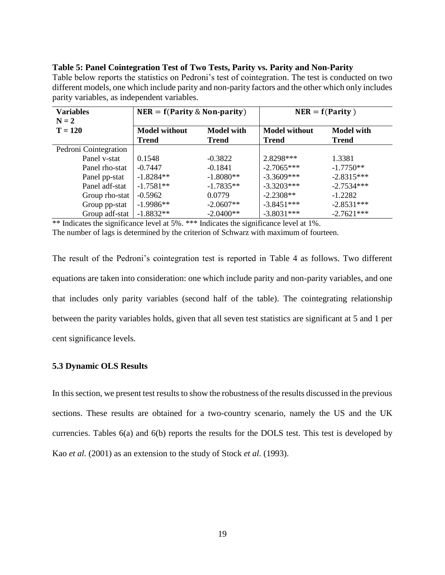| <b>Variables</b><br>$N = 2$ | $NER = f(Parity \& Non-parity)$ |                   | $NER = f(Parity)$    |                   |  |
|-----------------------------|---------------------------------|-------------------|----------------------|-------------------|--|
| $T = 120$                   | <b>Model without</b>            | <b>Model with</b> | <b>Model without</b> | <b>Model with</b> |  |
|                             | <b>Trend</b>                    | <b>Trend</b>      | <b>Trend</b>         | <b>Trend</b>      |  |
| Pedroni Cointegration       |                                 |                   |                      |                   |  |
| Panel v-stat                | 0.1548                          | $-0.3822$         | 2.8298***            | 1.3381            |  |
| Panel rho-stat              | $-0.7447$                       | $-0.1841$         | $-2.7065***$         | $-1.7750**$       |  |
| Panel pp-stat               | $-1.8284**$                     | $-1.8080**$       | $-3.3609***$         | $-2.8315***$      |  |
| Panel adf-stat              | $-1.7581**$                     | $-1.7835**$       | $-3.3203***$         | $-2.7534***$      |  |
| Group rho-stat              | $-0.5962$                       | 0.0779            | $-2.2308**$          | $-1.2282$         |  |
| Group pp-stat               | $-1.9986**$                     | $-2.0607**$       | $-3.8451***$         | $-2.8531***$      |  |
| Group adf-stat              | $-1.8832**$                     | $-2.0400**$       | $-3.8031***$         | $-2.7621***$      |  |

#### **Table 5: Panel Cointegration Test of Two Tests, Parity vs. Parity and Non-Parity**

Table below reports the statistics on Pedroni's test of cointegration. The test is conducted on two different models, one which include parity and non-parity factors and the other which only includes parity variables, as independent variables.

\*\* Indicates the significance level at 5%. \*\*\* Indicates the significance level at 1%.

The number of lags is determined by the criterion of Schwarz with maximum of fourteen.

The result of the Pedroni's cointegration test is reported in Table 4 as follows. Two different equations are taken into consideration: one which include parity and non-parity variables, and one that includes only parity variables (second half of the table). The cointegrating relationship between the parity variables holds, given that all seven test statistics are significant at 5 and 1 per cent significance levels.

# **5.3 Dynamic OLS Results**

In this section, we present test results to show the robustness of the results discussed in the previous sections. These results are obtained for a two-country scenario, namely the US and the UK currencies. Tables 6(a) and 6(b) reports the results for the DOLS test. This test is developed by Kao *et al.* [\(2001\)](#page-25-16) as an extension to the study of Stock *et al.* [\(1993\).](#page-26-3)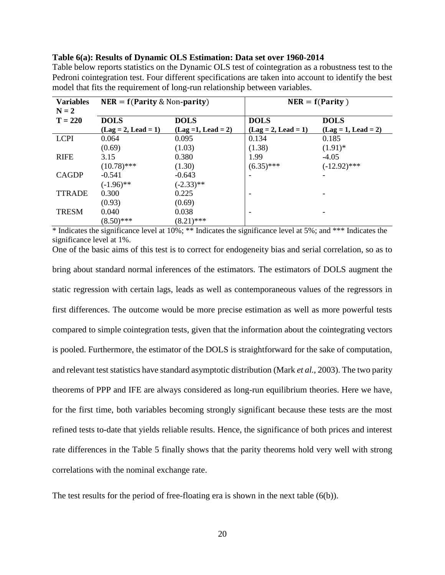## **Table 6(a): Results of Dynamic OLS Estimation: Data set over 1960-2014**

Table below reports statistics on the Dynamic OLS test of cointegration as a robustness test to the Pedroni cointegration test. Four different specifications are taken into account to identify the best model that fits the requirement of long-run relationship between variables.

| <b>Variables</b><br>$N = 2$ | $NER = f(Parity \& Non-parity)$ |                       | $NER = f(Parity)$     |                       |  |
|-----------------------------|---------------------------------|-----------------------|-----------------------|-----------------------|--|
| $T = 220$                   | <b>DOLS</b>                     | <b>DOLS</b>           | <b>DOLS</b>           | <b>DOLS</b>           |  |
|                             | $(Lag = 2, Lead = 1)$           | $(Lag = 1, Lead = 2)$ | $(Lag = 2, Lead = 1)$ | $(Lag = 1, Lead = 2)$ |  |
| <b>LCPI</b>                 | 0.064                           | 0.095                 | 0.134                 | 0.185                 |  |
|                             | (0.69)                          | (1.03)                | (1.38)                | $(1.91)$ *            |  |
| <b>RIFE</b>                 | 3.15                            | 0.380                 | 1.99                  | $-4.05$               |  |
|                             | $(10.78)$ ***                   | (1.30)                | $(6.35)$ ***          | $(-12.92)$ ***        |  |
| <b>CAGDP</b>                | $-0.541$                        | $-0.643$              | ۰                     |                       |  |
|                             | $(-1.96)$ **                    | $(-2.33)$ **          |                       |                       |  |
| <b>TTRADE</b>               | 0.300                           | 0.225                 |                       |                       |  |
|                             | (0.93)                          | (0.69)                |                       |                       |  |
| <b>TRESM</b>                | 0.040                           | 0.038                 | -                     |                       |  |
|                             | $(8.50)$ ***                    | $(8.21)$ ***          |                       |                       |  |

\* Indicates the significance level at 10%; \*\* Indicates the significance level at 5%; and \*\*\* Indicates the significance level at 1%.

One of the basic aims of this test is to correct for endogeneity bias and serial correlation, so as to bring about standard normal inferences of the estimators. The estimators of DOLS augment the static regression with certain lags, leads as well as contemporaneous values of the regressors in first differences. The outcome would be more precise estimation as well as more powerful tests compared to simple cointegration tests, given that the information about the cointegrating vectors is pooled. Furthermore, the estimator of the DOLS is straightforward for the sake of computation, and relevant test statistics have standard asymptotic distribution (Mark *et al.*[, 2003\)](#page-25-17). The two parity theorems of PPP and IFE are always considered as long-run equilibrium theories. Here we have, for the first time, both variables becoming strongly significant because these tests are the most refined tests to-date that yields reliable results. Hence, the significance of both prices and interest rate differences in the Table 5 finally shows that the parity theorems hold very well with strong correlations with the nominal exchange rate.

The test results for the period of free-floating era is shown in the next table  $(6(b))$ .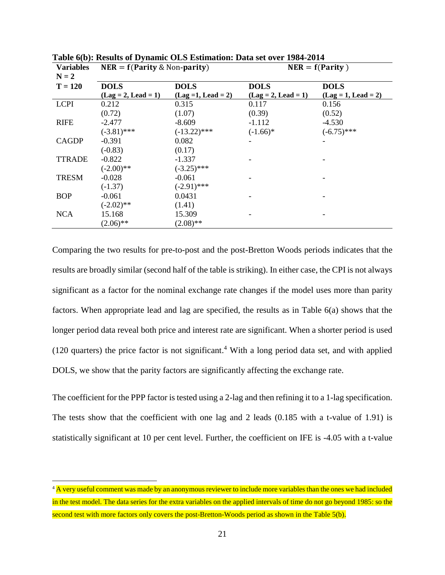| <b>Variables</b><br>$N = 2$ | $NER = f(Parity \& Non-parity)$ |                       | $NER = f(Parity)$     |                       |  |
|-----------------------------|---------------------------------|-----------------------|-----------------------|-----------------------|--|
| $T = 120$                   | <b>DOLS</b>                     | <b>DOLS</b>           | <b>DOLS</b>           | <b>DOLS</b>           |  |
|                             | $(Lag = 2, Lead = 1)$           | $(Lag = 1, Lead = 2)$ | $(Lag = 2, Lead = 1)$ | $(Lag = 1, Lead = 2)$ |  |
| <b>LCPI</b>                 | 0.212                           | 0.315                 | 0.117                 | 0.156                 |  |
|                             | (0.72)                          | (1.07)                | (0.39)                | (0.52)                |  |
| <b>RIFE</b>                 | $-2.477$                        | $-8.609$              | $-1.112$              | $-4.530$              |  |
|                             | $(-3.81)$ ***                   | $(-13.22)$ ***        | $(-1.66)*$            | $(-6.75)$ ***         |  |
| <b>CAGDP</b>                | $-0.391$                        | 0.082                 |                       |                       |  |
|                             | $(-0.83)$                       | (0.17)                |                       |                       |  |
| <b>TTRADE</b>               | $-0.822$                        | $-1.337$              |                       |                       |  |
|                             | $(-2.00)$ **                    | $(-3.25)$ ***         |                       |                       |  |
| <b>TRESM</b>                | $-0.028$                        | $-0.061$              |                       |                       |  |
|                             | $(-1.37)$                       | $(-2.91)$ ***         |                       |                       |  |
| <b>BOP</b>                  | $-0.061$                        | 0.0431                |                       |                       |  |
|                             | $(-2.02)$ **                    | (1.41)                |                       |                       |  |
| <b>NCA</b>                  | 15.168                          | 15.309                |                       |                       |  |
|                             | $(2.06)$ **                     | $(2.08)$ **           |                       |                       |  |

**Table 6(b): Results of Dynamic OLS Estimation: Data set over 1984-2014**

Comparing the two results for pre-to-post and the post-Bretton Woods periods indicates that the results are broadly similar (second half of the table is striking). In either case, the CPI is not always significant as a factor for the nominal exchange rate changes if the model uses more than parity factors. When appropriate lead and lag are specified, the results as in Table 6(a) shows that the longer period data reveal both price and interest rate are significant. When a shorter period is used (120 quarters) the price factor is not significant. <sup>4</sup> With a long period data set, and with applied DOLS, we show that the parity factors are significantly affecting the exchange rate.

The coefficient for the PPP factor is tested using a 2-lag and then refining it to a 1-lag specification. The tests show that the coefficient with one lag and 2 leads (0.185 with a t-value of 1.91) is statistically significant at 10 per cent level. Further, the coefficient on IFE is -4.05 with a t-value

 $\overline{a}$ 

<sup>&</sup>lt;sup>4</sup> A very useful comment was made by an anonymous reviewer to include more variables than the ones we had included in the test model. The data series for the extra variables on the applied intervals of time do not go beyond 1985: so the second test with more factors only covers the post-Bretton-Woods period as shown in the Table 5(b).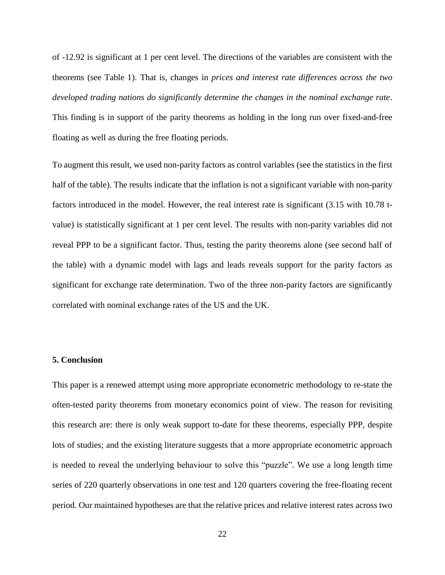of -12.92 is significant at 1 per cent level. The directions of the variables are consistent with the theorems (see Table 1). That is, changes in *prices and interest rate differences across the two developed trading nations do significantly determine the changes in the nominal exchange rate*. This finding is in support of the parity theorems as holding in the long run over fixed-and-free floating as well as during the free floating periods.

To augment this result, we used non-parity factors as control variables (see the statistics in the first half of the table). The results indicate that the inflation is not a significant variable with non-parity factors introduced in the model. However, the real interest rate is significant (3.15 with 10.78 tvalue) is statistically significant at 1 per cent level. The results with non-parity variables did not reveal PPP to be a significant factor. Thus, testing the parity theorems alone (see second half of the table) with a dynamic model with lags and leads reveals support for the parity factors as significant for exchange rate determination. Two of the three non-parity factors are significantly correlated with nominal exchange rates of the US and the UK.

# **5. Conclusion**

This paper is a renewed attempt using more appropriate econometric methodology to re-state the often-tested parity theorems from monetary economics point of view. The reason for revisiting this research are: there is only weak support to-date for these theorems, especially PPP, despite lots of studies; and the existing literature suggests that a more appropriate econometric approach is needed to reveal the underlying behaviour to solve this "puzzle". We use a long length time series of 220 quarterly observations in one test and 120 quarters covering the free-floating recent period. Our maintained hypotheses are that the relative prices and relative interest rates across two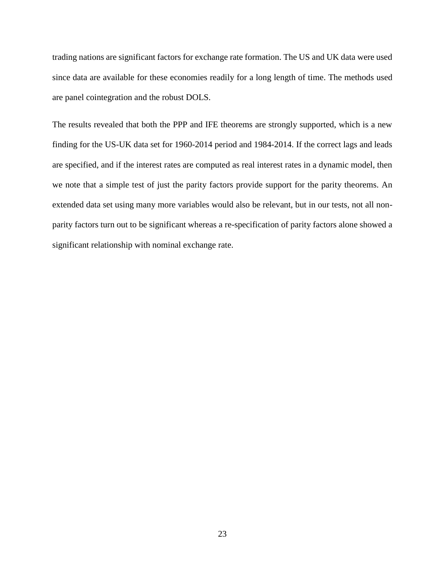trading nations are significant factors for exchange rate formation. The US and UK data were used since data are available for these economies readily for a long length of time. The methods used are panel cointegration and the robust DOLS.

The results revealed that both the PPP and IFE theorems are strongly supported, which is a new finding for the US-UK data set for 1960-2014 period and 1984-2014. If the correct lags and leads are specified, and if the interest rates are computed as real interest rates in a dynamic model, then we note that a simple test of just the parity factors provide support for the parity theorems. An extended data set using many more variables would also be relevant, but in our tests, not all nonparity factors turn out to be significant whereas a re-specification of parity factors alone showed a significant relationship with nominal exchange rate.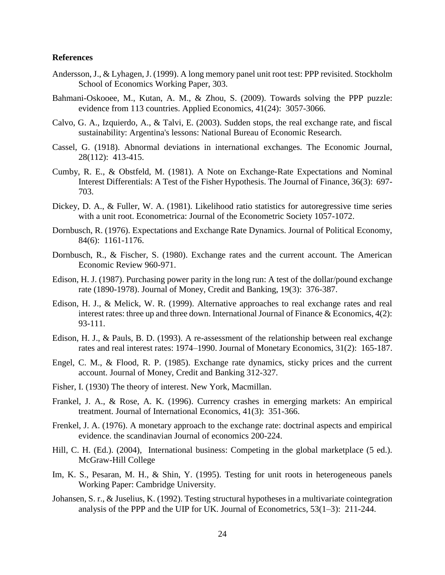# **References**

- <span id="page-24-7"></span>Andersson, J., & Lyhagen, J. (1999). A long memory panel unit root test: PPP revisited. Stockholm School of Economics Working Paper, 303.
- <span id="page-24-0"></span>Bahmani-Oskooee, M., Kutan, A. M., & Zhou, S. (2009). Towards solving the PPP puzzle: evidence from 113 countries. Applied Economics, 41(24): 3057-3066.
- <span id="page-24-16"></span>Calvo, G. A., Izquierdo, A., & Talvi, E. (2003). Sudden stops, the real exchange rate, and fiscal sustainability: Argentina's lessons: National Bureau of Economic Research.
- <span id="page-24-1"></span>Cassel, G. (1918). Abnormal deviations in international exchanges. The Economic Journal, 28(112): 413-415.
- <span id="page-24-12"></span>Cumby, R. E., & Obstfeld, M. (1981). A Note on Exchange‐Rate Expectations and Nominal Interest Differentials: A Test of the Fisher Hypothesis. The Journal of Finance, 36(3): 697- 703.
- <span id="page-24-5"></span>Dickey, D. A., & Fuller, W. A. (1981). Likelihood ratio statistics for autoregressive time series with a unit root. Econometrica: Journal of the Econometric Society 1057-1072.
- <span id="page-24-8"></span>Dornbusch, R. (1976). Expectations and Exchange Rate Dynamics. Journal of Political Economy, 84(6): 1161-1176.
- <span id="page-24-14"></span>Dornbusch, R., & Fischer, S. (1980). Exchange rates and the current account. The American Economic Review 960-971.
- <span id="page-24-6"></span>Edison, H. J. (1987). Purchasing power parity in the long run: A test of the dollar/pound exchange rate (1890-1978). Journal of Money, Credit and Banking, 19(3): 376-387.
- <span id="page-24-3"></span>Edison, H. J., & Melick, W. R. (1999). Alternative approaches to real exchange rates and real interest rates: three up and three down. International Journal of Finance & Economics, 4(2): 93-111.
- <span id="page-24-9"></span>Edison, H. J., & Pauls, B. D. (1993). A re-assessment of the relationship between real exchange rates and real interest rates: 1974–1990. Journal of Monetary Economics, 31(2): 165-187.
- <span id="page-24-15"></span>Engel, C. M., & Flood, R. P. (1985). Exchange rate dynamics, sticky prices and the current account. Journal of Money, Credit and Banking 312-327.
- <span id="page-24-2"></span>Fisher, I. (1930) The theory of interest. New York, Macmillan.
- <span id="page-24-13"></span>Frankel, J. A., & Rose, A. K. (1996). Currency crashes in emerging markets: An empirical treatment. Journal of International Economics, 41(3): 351-366.
- <span id="page-24-4"></span>Frenkel, J. A. (1976). A monetary approach to the exchange rate: doctrinal aspects and empirical evidence. the scandinavian Journal of economics 200-224.
- <span id="page-24-11"></span>Hill, C. H. (Ed.). (2004), International business: Competing in the global marketplace (5 ed.). McGraw-Hill College
- <span id="page-24-17"></span>Im, K. S., Pesaran, M. H., & Shin, Y. (1995). Testing for unit roots in heterogeneous panels Working Paper: Cambridge University.
- <span id="page-24-10"></span>Johansen, S. r., & Juselius, K. (1992). Testing structural hypotheses in a multivariate cointegration analysis of the PPP and the UIP for UK. Journal of Econometrics, 53(1–3): 211-244.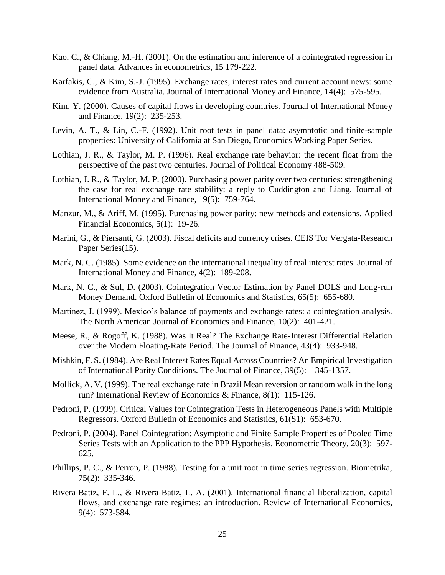- <span id="page-25-16"></span>Kao, C., & Chiang, M.-H. (2001). On the estimation and inference of a cointegrated regression in panel data. Advances in econometrics, 15 179-222.
- <span id="page-25-12"></span>Karfakis, C., & Kim, S.-J. (1995). Exchange rates, interest rates and current account news: some evidence from Australia. Journal of International Money and Finance, 14(4): 575-595.
- <span id="page-25-0"></span>Kim, Y. (2000). Causes of capital flows in developing countries. Journal of International Money and Finance, 19(2): 235-253.
- <span id="page-25-2"></span>Levin, A. T., & Lin, C.-F. (1992). Unit root tests in panel data: asymptotic and finite-sample properties: University of California at San Diego, Economics Working Paper Series.
- <span id="page-25-4"></span>Lothian, J. R., & Taylor, M. P. (1996). Real exchange rate behavior: the recent float from the perspective of the past two centuries. Journal of Political Economy 488-509.
- <span id="page-25-6"></span>Lothian, J. R., & Taylor, M. P. (2000). Purchasing power parity over two centuries: strengthening the case for real exchange rate stability: a reply to Cuddington and Liang. Journal of International Money and Finance, 19(5): 759-764.
- <span id="page-25-1"></span>Manzur, M., & Ariff, M. (1995). Purchasing power parity: new methods and extensions. Applied Financial Economics, 5(1): 19-26.
- <span id="page-25-11"></span>Marini, G., & Piersanti, G. (2003). Fiscal deficits and currency crises. CEIS Tor Vergata-Research Paper Series(15).
- <span id="page-25-8"></span>Mark, N. C. (1985). Some evidence on the international inequality of real interest rates. Journal of International Money and Finance, 4(2): 189-208.
- <span id="page-25-17"></span>Mark, N. C., & Sul, D. (2003). Cointegration Vector Estimation by Panel DOLS and Long-run Money Demand. Oxford Bulletin of Economics and Statistics, 65(5): 655-680.
- <span id="page-25-10"></span>Martínez, J. (1999). Mexico's balance of payments and exchange rates: a cointegration analysis. The North American Journal of Economics and Finance, 10(2): 401-421.
- <span id="page-25-9"></span>Meese, R., & Rogoff, K. (1988). Was It Real? The Exchange Rate-Interest Differential Relation over the Modern Floating-Rate Period. The Journal of Finance, 43(4): 933-948.
- <span id="page-25-7"></span>Mishkin, F. S. (1984). Are Real Interest Rates Equal Across Countries? An Empirical Investigation of International Parity Conditions. The Journal of Finance, 39(5): 1345-1357.
- <span id="page-25-3"></span>Mollick, A. V. (1999). The real exchange rate in Brazil Mean reversion or random walk in the long run? International Review of Economics & Finance, 8(1): 115-126.
- <span id="page-25-14"></span>Pedroni, P. (1999). Critical Values for Cointegration Tests in Heterogeneous Panels with Multiple Regressors. Oxford Bulletin of Economics and Statistics, 61(S1): 653-670.
- <span id="page-25-15"></span>Pedroni, P. (2004). Panel Cointegration: Asymptotic and Finite Sample Properties of Pooled Time Series Tests with an Application to the PPP Hypothesis. Econometric Theory, 20(3): 597- 625.
- <span id="page-25-5"></span>Phillips, P. C., & Perron, P. (1988). Testing for a unit root in time series regression. Biometrika, 75(2): 335-346.
- <span id="page-25-13"></span>Rivera‐Batiz, F. L., & Rivera‐Batiz, L. A. (2001). International financial liberalization, capital flows, and exchange rate regimes: an introduction. Review of International Economics, 9(4): 573-584.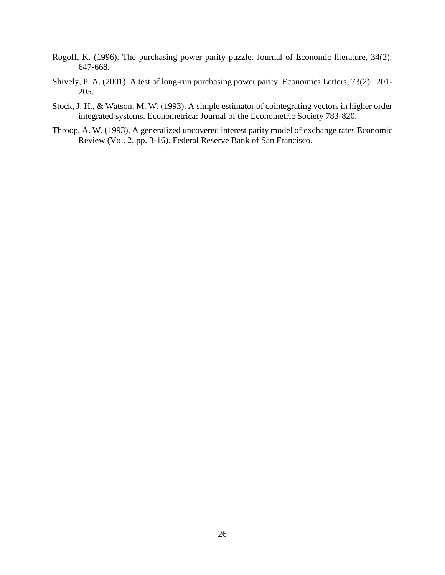- <span id="page-26-0"></span>Rogoff, K. (1996). The purchasing power parity puzzle. Journal of Economic literature, 34(2): 647-668.
- <span id="page-26-1"></span>Shively, P. A. (2001). A test of long-run purchasing power parity. Economics Letters, 73(2): 201- 205.
- <span id="page-26-3"></span>Stock, J. H., & Watson, M. W. (1993). A simple estimator of cointegrating vectors in higher order integrated systems. Econometrica: Journal of the Econometric Society 783-820.
- <span id="page-26-2"></span>Throop, A. W. (1993). A generalized uncovered interest parity model of exchange rates Economic Review (Vol. 2, pp. 3-16). Federal Reserve Bank of San Francisco.